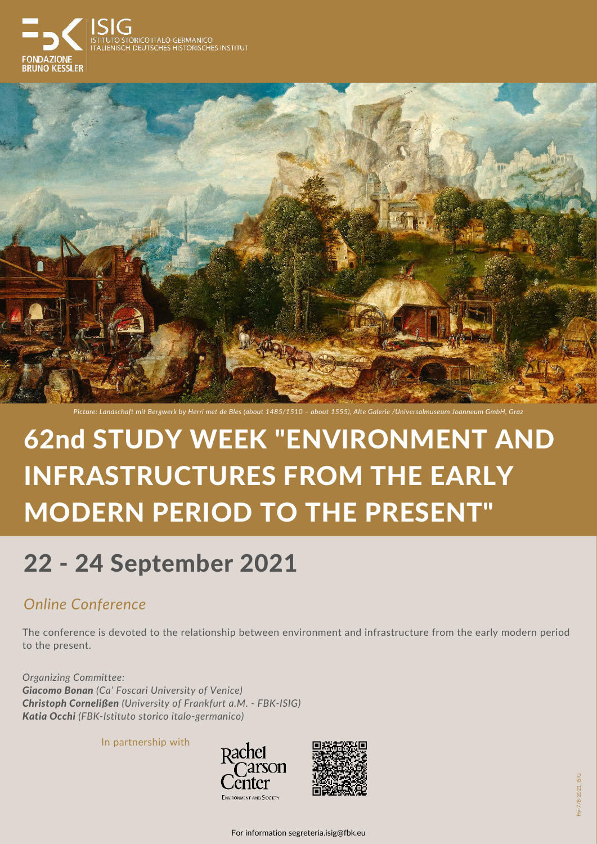The conference is devoted to the relationship between environment and infrastructure from the early modern period to the present.

*Organizing Committee: Giacomo Bonan (Ca' Foscari University of Venice) Christoph Cornelißen (University of Frankfurt a.M. - FBK-ISIG) Katia Occhi (FBK-Istituto storico italo-germanico)*

> Fly-7/8-2021\_ISIG Fly-7/8-2021\_ISIG

## 62nd STUDY WEEK "ENVIRONMENT AND

# INFRASTRUCTURES FROM THE EARLY MODERN PERIOD TO THE PRESENT"

## 22 - 24 September 2021

### *Online Conference*

In partnership with









*Picture: Landschaft mit Bergwerk by Herri met de Bles (about 1485/1510 – about 1555), Alte Galerie /Universalmuseum Joanneum GmbH, Graz*